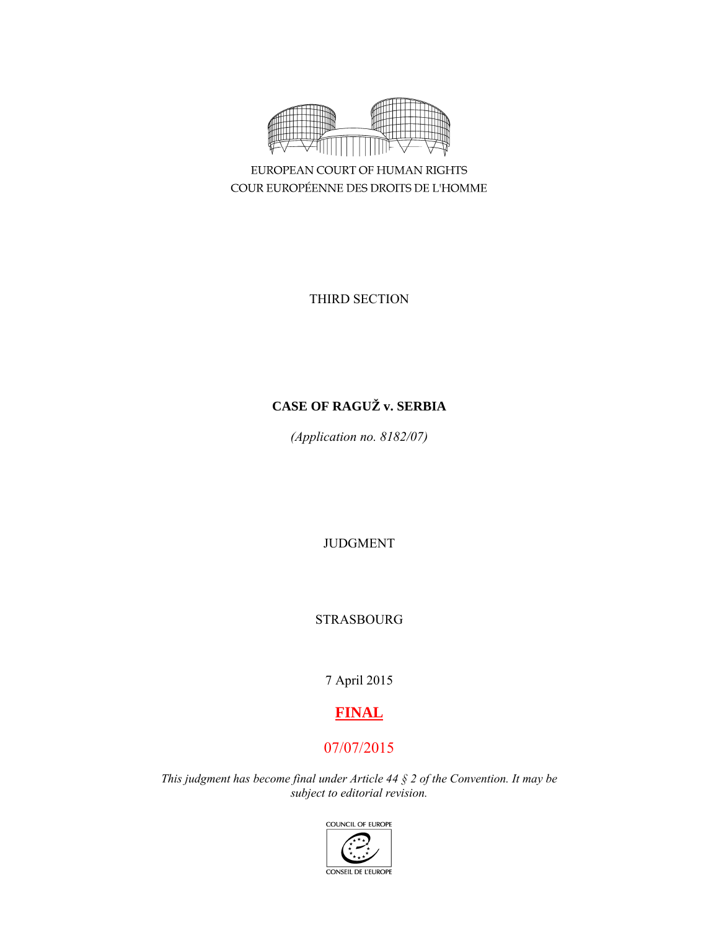

EUROPEAN COURT OF HUMAN RIGHTS COUR EUROPÉENNE DES DROITS DE L'HOMME

THIRD SECTION

# **CASE OF RAGUŽ v. SERBIA**

*(Application no. 8182/07)* 

JUDGMENT

STRASBOURG

7 April 2015

# **FINAL**

# 07/07/2015

*This judgment has become final under Article 44 § 2 of the Convention. It may be subject to editorial revision.* 

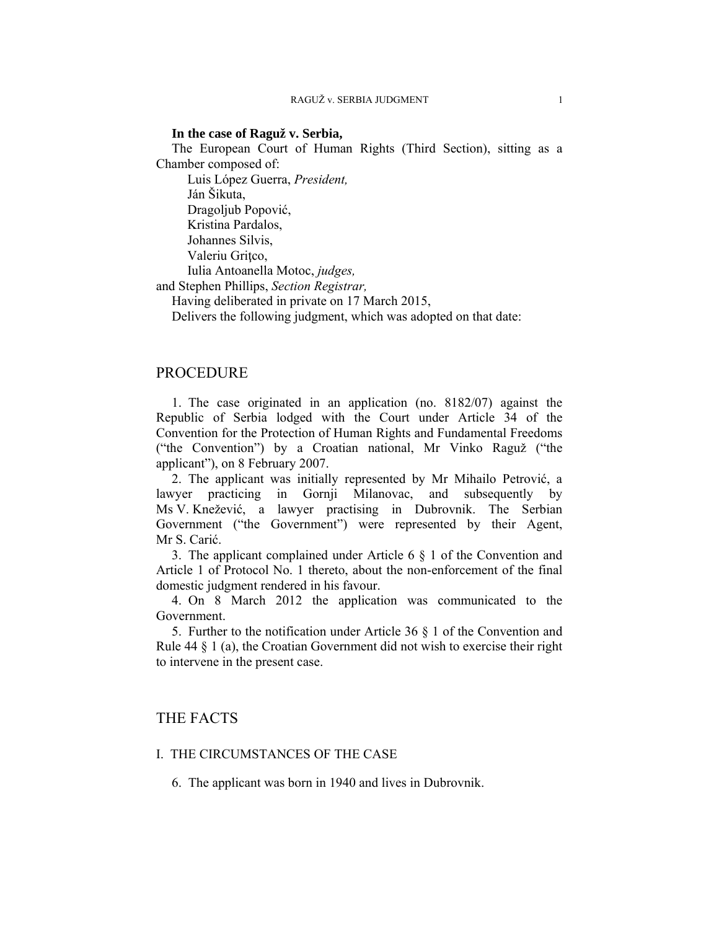### **In the case of Raguž v. Serbia,**

The European Court of Human Rights (Third Section), sitting as a Chamber composed of:

 Luis López Guerra, *President,*  Ján Šikuta,

Dragoljub Popović,

Kristina Pardalos,

Johannes Silvis,

Valeriu Gritco,

Iulia Antoanella Motoc, *judges,*

and Stephen Phillips, *Section Registrar,*

Having deliberated in private on 17 March 2015,

Delivers the following judgment, which was adopted on that date:

# PROCEDURE

1. The case originated in an application (no. 8182/07) against the Republic of Serbia lodged with the Court under Article 34 of the Convention for the Protection of Human Rights and Fundamental Freedoms ("the Convention") by a Croatian national, Mr Vinko Raguž ("the applicant"), on 8 February 2007.

2. The applicant was initially represented by Mr Mihailo Petrović, a lawyer practicing in Gornji Milanovac, and subsequently by Ms V. Knežević, a lawyer practising in Dubrovnik. The Serbian Government ("the Government") were represented by their Agent, Mr S. Carić.

3. The applicant complained under Article 6 § 1 of the Convention and Article 1 of Protocol No. 1 thereto, about the non-enforcement of the final domestic judgment rendered in his favour.

4. On 8 March 2012 the application was communicated to the Government.

5. Further to the notification under Article 36 § 1 of the Convention and Rule 44 § 1 (a), the Croatian Government did not wish to exercise their right to intervene in the present case.

# THE FACTS

# I. THE CIRCUMSTANCES OF THE CASE

6. The applicant was born in 1940 and lives in Dubrovnik.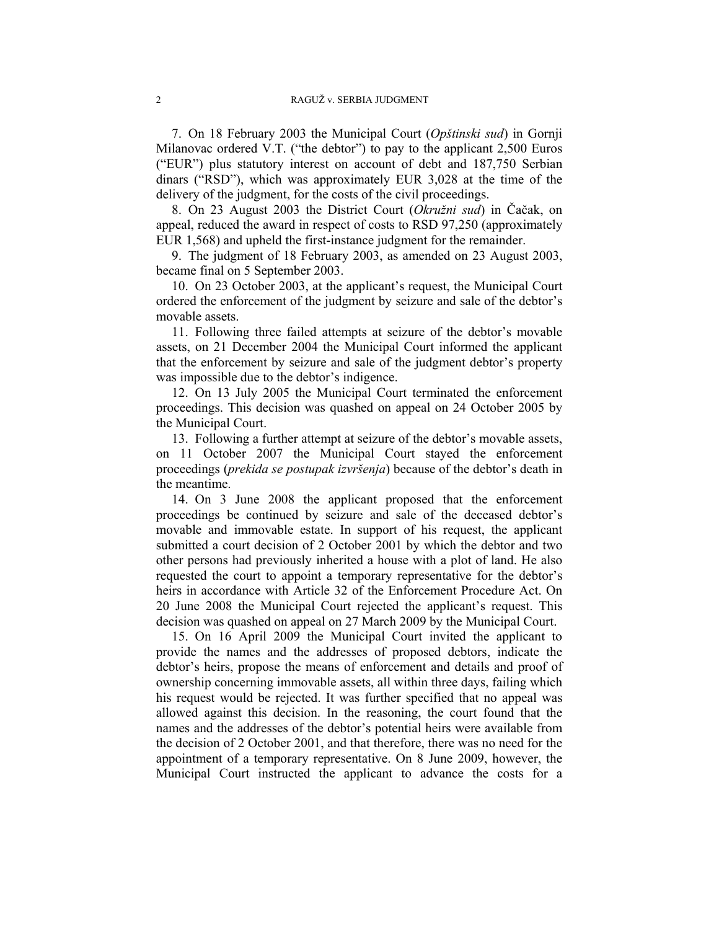7. On 18 February 2003 the Municipal Court (*Opštinski sud*) in Gornji Milanovac ordered V.T. ("the debtor") to pay to the applicant 2,500 Euros ("EUR") plus statutory interest on account of debt and 187,750 Serbian dinars ("RSD"), which was approximately EUR 3,028 at the time of the delivery of the judgment, for the costs of the civil proceedings.

8. On 23 August 2003 the District Court (*Okružni sud*) in Čačak, on appeal, reduced the award in respect of costs to RSD 97,250 (approximately EUR 1,568) and upheld the first-instance judgment for the remainder.

9. The judgment of 18 February 2003, as amended on 23 August 2003, became final on 5 September 2003.

10. On 23 October 2003, at the applicant's request, the Municipal Court ordered the enforcement of the judgment by seizure and sale of the debtor's movable assets.

11. Following three failed attempts at seizure of the debtor's movable assets, on 21 December 2004 the Municipal Court informed the applicant that the enforcement by seizure and sale of the judgment debtor's property was impossible due to the debtor's indigence.

12. On 13 July 2005 the Municipal Court terminated the enforcement proceedings. This decision was quashed on appeal on 24 October 2005 by the Municipal Court.

13. Following a further attempt at seizure of the debtor's movable assets, on 11 October 2007 the Municipal Court stayed the enforcement proceedings (*prekida se postupak izvršenja*) because of the debtor's death in the meantime.

14. On 3 June 2008 the applicant proposed that the enforcement proceedings be continued by seizure and sale of the deceased debtor's movable and immovable estate. In support of his request, the applicant submitted a court decision of 2 October 2001 by which the debtor and two other persons had previously inherited a house with a plot of land. He also requested the court to appoint a temporary representative for the debtor's heirs in accordance with Article 32 of the Enforcement Procedure Act. On 20 June 2008 the Municipal Court rejected the applicant's request. This decision was quashed on appeal on 27 March 2009 by the Municipal Court.

15. On 16 April 2009 the Municipal Court invited the applicant to provide the names and the addresses of proposed debtors, indicate the debtor's heirs, propose the means of enforcement and details and proof of ownership concerning immovable assets, all within three days, failing which his request would be rejected. It was further specified that no appeal was allowed against this decision. In the reasoning, the court found that the names and the addresses of the debtor's potential heirs were available from the decision of 2 October 2001, and that therefore, there was no need for the appointment of a temporary representative. On 8 June 2009, however, the Municipal Court instructed the applicant to advance the costs for a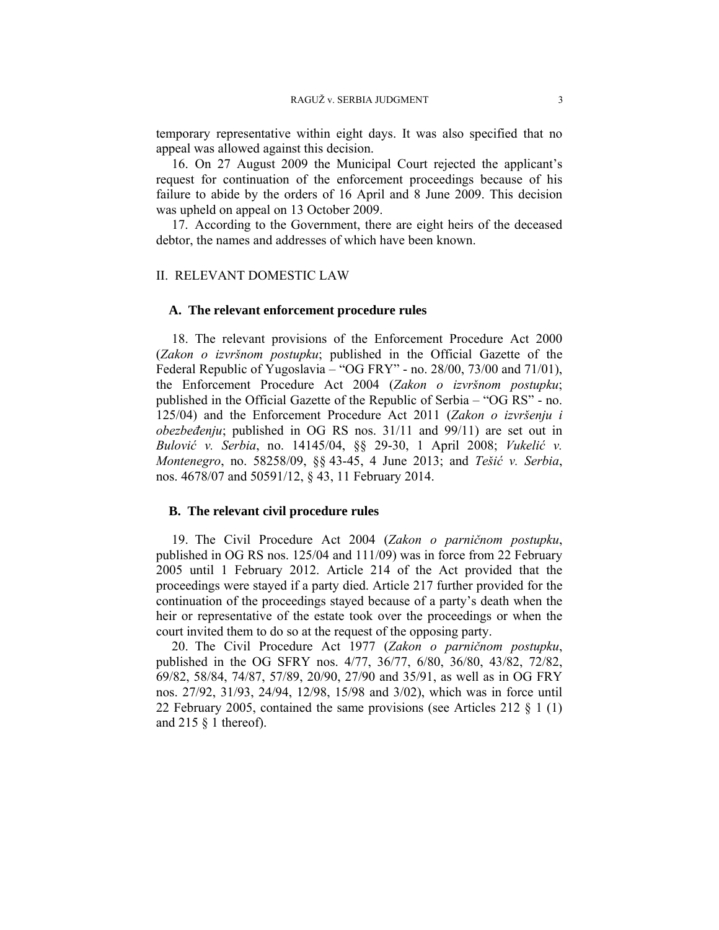temporary representative within eight days. It was also specified that no appeal was allowed against this decision.

16. On 27 August 2009 the Municipal Court rejected the applicant's request for continuation of the enforcement proceedings because of his failure to abide by the orders of 16 April and 8 June 2009. This decision was upheld on appeal on 13 October 2009.

17. According to the Government, there are eight heirs of the deceased debtor, the names and addresses of which have been known.

#### II. RELEVANT DOMESTIC LAW

## **A. The relevant enforcement procedure rules**

18. The relevant provisions of the Enforcement Procedure Act 2000 (*Zakon o izvršnom postupku*; published in the Official Gazette of the Federal Republic of Yugoslavia – "OG FRY" - no. 28/00, 73/00 and 71/01), the Enforcement Procedure Act 2004 (*Zakon o izvršnom postupku*; published in the Official Gazette of the Republic of Serbia – "OG RS" - no. 125/04) and the Enforcement Procedure Act 2011 (*Zakon o izvršenju i obezbeđenju*; published in OG RS nos. 31/11 and 99/11) are set out in *Bulović v. Serbia*, no. 14145/04, §§ 29-30, 1 April 2008; *Vukelić v. Montenegro*, no. 58258/09, §§ 43-45, 4 June 2013; and *Tešić v. Serbia*, nos. 4678/07 and 50591/12, § 43, 11 February 2014.

## **B. The relevant civil procedure rules**

19. The Civil Procedure Act 2004 (*Zakon o parničnom postupku*, published in OG RS nos. 125/04 and 111/09) was in force from 22 February 2005 until 1 February 2012. Article 214 of the Act provided that the proceedings were stayed if a party died. Article 217 further provided for the continuation of the proceedings stayed because of a party's death when the heir or representative of the estate took over the proceedings or when the court invited them to do so at the request of the opposing party.

20. The Civil Procedure Act 1977 (*Zakon o parničnom postupku*, published in the OG SFRY nos. 4/77, 36/77, 6/80, 36/80, 43/82, 72/82, 69/82, 58/84, 74/87, 57/89, 20/90, 27/90 and 35/91, as well as in OG FRY nos. 27/92, 31/93, 24/94, 12/98, 15/98 and 3/02), which was in force until 22 February 2005, contained the same provisions (see Articles 212  $\S$  1 (1) and  $215 \S 1$  thereof).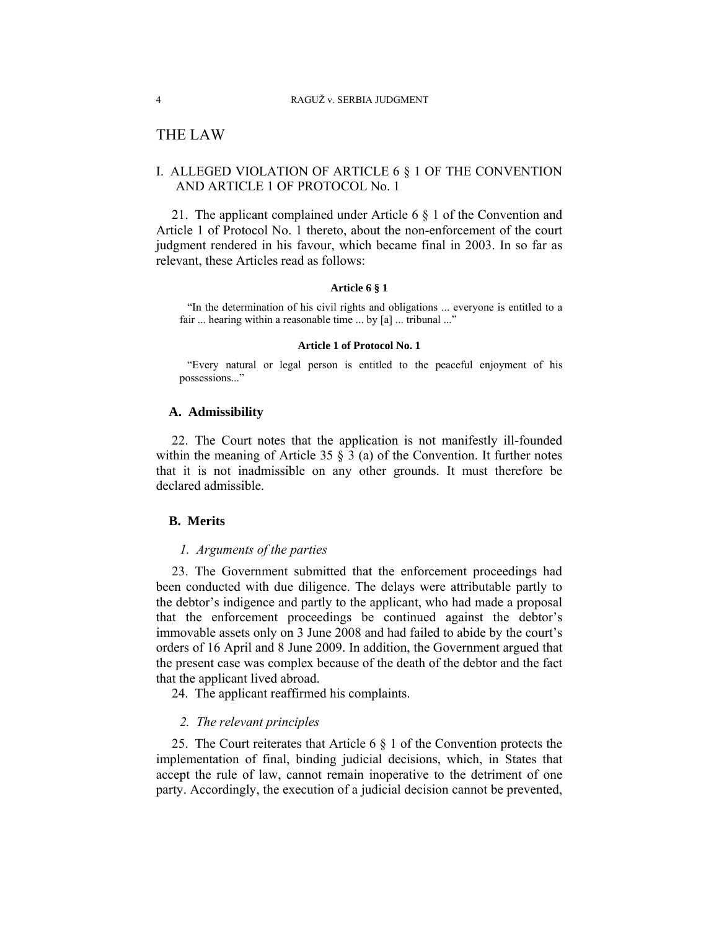# THE LAW

# I. ALLEGED VIOLATION OF ARTICLE 6 § 1 OF THE CONVENTION AND ARTICLE 1 OF PROTOCOL No. 1

21. The applicant complained under Article 6 § 1 of the Convention and Article 1 of Protocol No. 1 thereto, about the non-enforcement of the court judgment rendered in his favour, which became final in 2003. In so far as relevant, these Articles read as follows:

#### **Article 6 § 1**

"In the determination of his civil rights and obligations ... everyone is entitled to a fair ... hearing within a reasonable time ... by [a] ... tribunal ..."

#### **Article 1 of Protocol No. 1**

"Every natural or legal person is entitled to the peaceful enjoyment of his possessions..."

# **A. Admissibility**

22. The Court notes that the application is not manifestly ill-founded within the meaning of Article 35  $\S$  3 (a) of the Convention. It further notes that it is not inadmissible on any other grounds. It must therefore be declared admissible.

### **B. Merits**

### *1. Arguments of the parties*

23. The Government submitted that the enforcement proceedings had been conducted with due diligence. The delays were attributable partly to the debtor's indigence and partly to the applicant, who had made a proposal that the enforcement proceedings be continued against the debtor's immovable assets only on 3 June 2008 and had failed to abide by the court's orders of 16 April and 8 June 2009. In addition, the Government argued that the present case was complex because of the death of the debtor and the fact that the applicant lived abroad.

24. The applicant reaffirmed his complaints.

### *2. The relevant principles*

25. The Court reiterates that Article 6 § 1 of the Convention protects the implementation of final, binding judicial decisions, which, in States that accept the rule of law, cannot remain inoperative to the detriment of one party. Accordingly, the execution of a judicial decision cannot be prevented,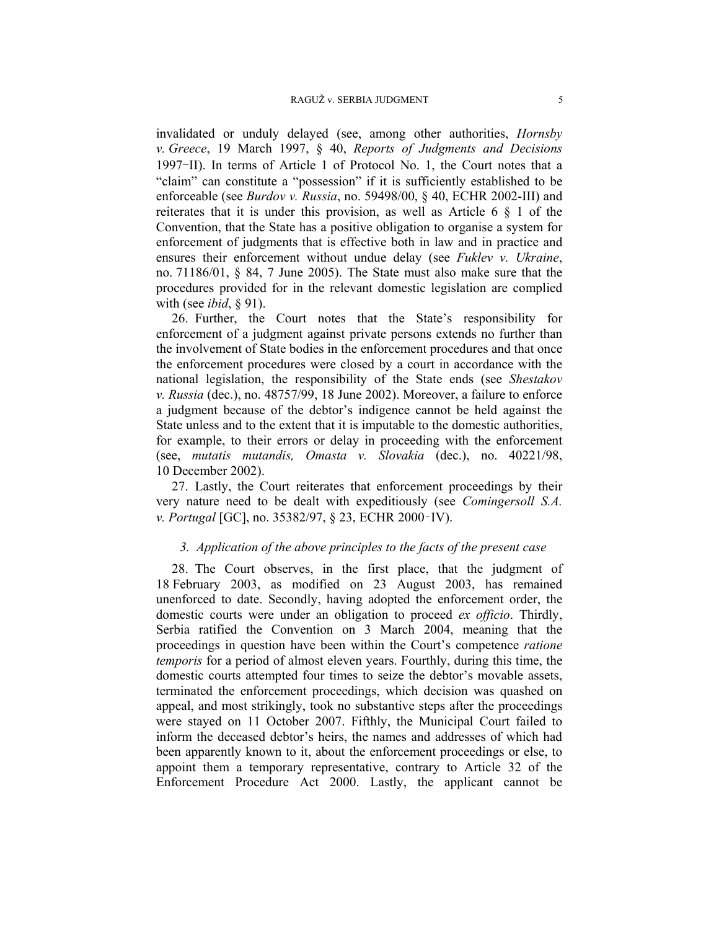invalidated or unduly delayed (see, among other authorities, *Hornsby v. Greece*, 19 March 1997, § 40, *Reports of Judgments and Decisions* 1997-II). In terms of Article 1 of Protocol No. 1, the Court notes that a "claim" can constitute a "possession" if it is sufficiently established to be enforceable (see *Burdov v. Russia*, no. 59498/00, § 40, ECHR 2002-III) and reiterates that it is under this provision, as well as Article 6 § 1 of the Convention, that the State has a positive obligation to organise a system for enforcement of judgments that is effective both in law and in practice and ensures their enforcement without undue delay (see *Fuklev v. Ukraine*, no. 71186/01, § 84, 7 June 2005). The State must also make sure that the procedures provided for in the relevant domestic legislation are complied with (see *ibid*, § 91).

26. Further, the Court notes that the State's responsibility for enforcement of a judgment against private persons extends no further than the involvement of State bodies in the enforcement procedures and that once the enforcement procedures were closed by a court in accordance with the national legislation, the responsibility of the State ends (see *Shestakov v. Russia* (dec.), no. 48757/99, 18 June 2002). Moreover, a failure to enforce a judgment because of the debtor's indigence cannot be held against the State unless and to the extent that it is imputable to the domestic authorities, for example, to their errors or delay in proceeding with the enforcement (see, *mutatis mutandis, Omasta v. Slovakia* (dec.), no. 40221/98, 10 December 2002).

27. Lastly, the Court reiterates that enforcement proceedings by their very nature need to be dealt with expeditiously (see *Comingersoll S.A. v. Portugal* [GC], no. 35382/97, § 23, ECHR 2000‑IV).

### *3. Application of the above principles to the facts of the present case*

28. The Court observes, in the first place, that the judgment of 18 February 2003, as modified on 23 August 2003, has remained unenforced to date. Secondly, having adopted the enforcement order, the domestic courts were under an obligation to proceed *ex officio*. Thirdly, Serbia ratified the Convention on 3 March 2004, meaning that the proceedings in question have been within the Court's competence *ratione temporis* for a period of almost eleven years. Fourthly, during this time, the domestic courts attempted four times to seize the debtor's movable assets, terminated the enforcement proceedings, which decision was quashed on appeal, and most strikingly, took no substantive steps after the proceedings were stayed on 11 October 2007. Fifthly, the Municipal Court failed to inform the deceased debtor's heirs, the names and addresses of which had been apparently known to it, about the enforcement proceedings or else, to appoint them a temporary representative, contrary to Article 32 of the Enforcement Procedure Act 2000. Lastly, the applicant cannot be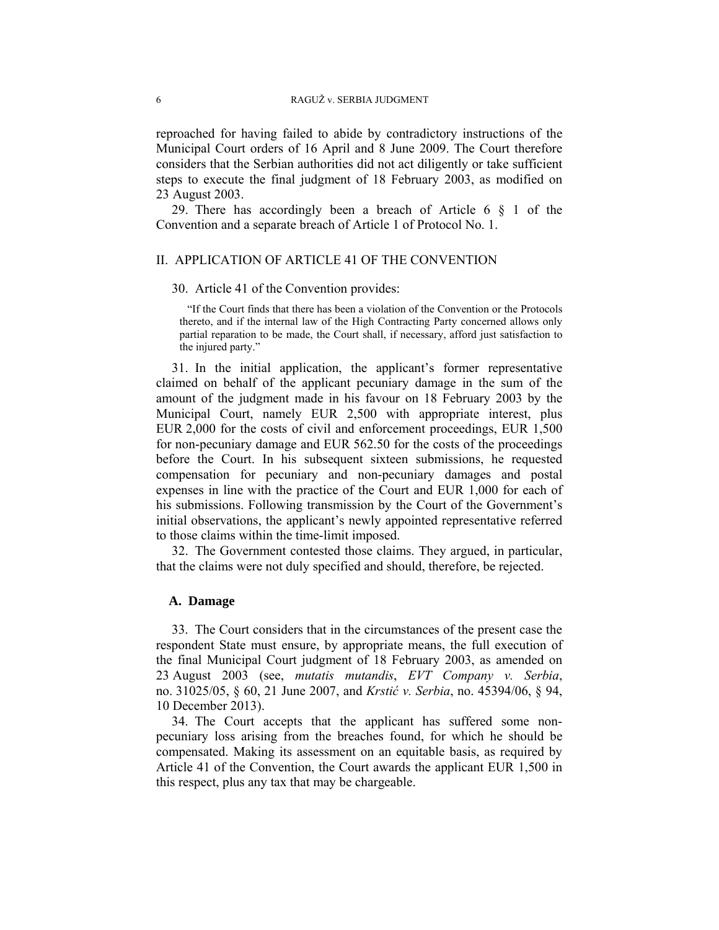reproached for having failed to abide by contradictory instructions of the Municipal Court orders of 16 April and 8 June 2009. The Court therefore considers that the Serbian authorities did not act diligently or take sufficient steps to execute the final judgment of 18 February 2003, as modified on 23 August 2003.

29. There has accordingly been a breach of Article 6 § 1 of the Convention and a separate breach of Article 1 of Protocol No. 1.

#### II. APPLICATION OF ARTICLE 41 OF THE CONVENTION

#### 30. Article 41 of the Convention provides:

"If the Court finds that there has been a violation of the Convention or the Protocols thereto, and if the internal law of the High Contracting Party concerned allows only partial reparation to be made, the Court shall, if necessary, afford just satisfaction to the injured party."

31. In the initial application, the applicant's former representative claimed on behalf of the applicant pecuniary damage in the sum of the amount of the judgment made in his favour on 18 February 2003 by the Municipal Court, namely EUR 2,500 with appropriate interest, plus EUR 2,000 for the costs of civil and enforcement proceedings, EUR 1,500 for non-pecuniary damage and EUR 562.50 for the costs of the proceedings before the Court. In his subsequent sixteen submissions, he requested compensation for pecuniary and non-pecuniary damages and postal expenses in line with the practice of the Court and EUR 1,000 for each of his submissions. Following transmission by the Court of the Government's initial observations, the applicant's newly appointed representative referred to those claims within the time-limit imposed.

32. The Government contested those claims. They argued, in particular, that the claims were not duly specified and should, therefore, be rejected.

## **A. Damage**

33. The Court considers that in the circumstances of the present case the respondent State must ensure, by appropriate means, the full execution of the final Municipal Court judgment of 18 February 2003, as amended on 23 August 2003 (see, *mutatis mutandis*, *EVT Company v. Serbia*, no. 31025/05, § 60, 21 June 2007, and *Krstić v. Serbia*, no. 45394/06, § 94, 10 December 2013).

34. The Court accepts that the applicant has suffered some nonpecuniary loss arising from the breaches found, for which he should be compensated. Making its assessment on an equitable basis, as required by Article 41 of the Convention, the Court awards the applicant EUR 1,500 in this respect, plus any tax that may be chargeable.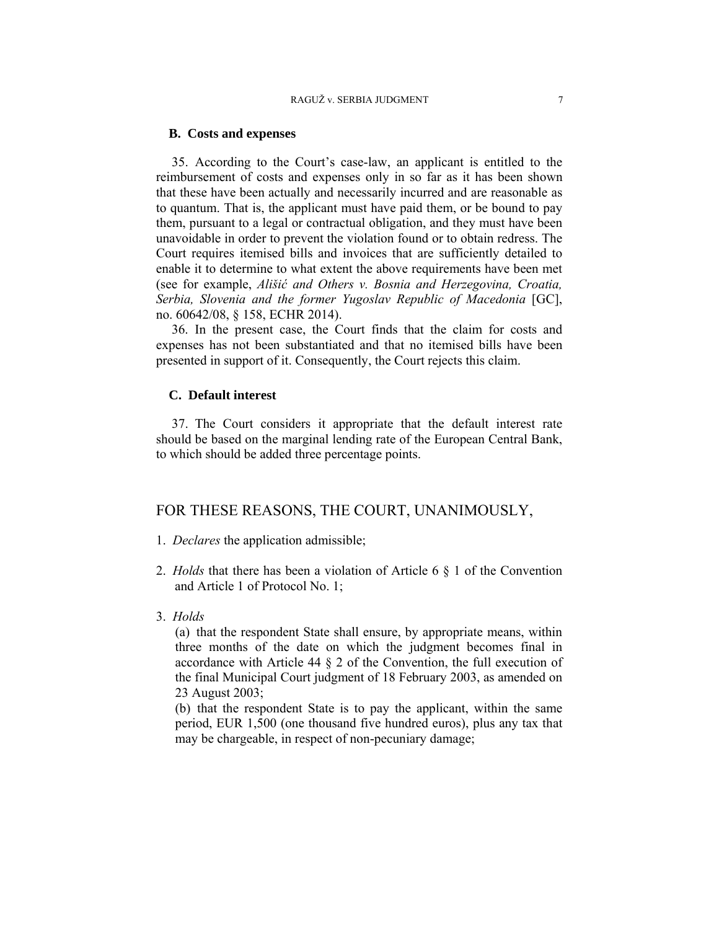### **B. Costs and expenses**

35. According to the Court's case-law, an applicant is entitled to the reimbursement of costs and expenses only in so far as it has been shown that these have been actually and necessarily incurred and are reasonable as to quantum. That is, the applicant must have paid them, or be bound to pay them, pursuant to a legal or contractual obligation, and they must have been unavoidable in order to prevent the violation found or to obtain redress. The Court requires itemised bills and invoices that are sufficiently detailed to enable it to determine to what extent the above requirements have been met (see for example, *Ališić and Others v. Bosnia and Herzegovina, Croatia, Serbia, Slovenia and the former Yugoslav Republic of Macedonia* [GC], no. 60642/08, § 158, ECHR 2014).

36. In the present case, the Court finds that the claim for costs and expenses has not been substantiated and that no itemised bills have been presented in support of it. Consequently, the Court rejects this claim.

# **C. Default interest**

37. The Court considers it appropriate that the default interest rate should be based on the marginal lending rate of the European Central Bank, to which should be added three percentage points.

# FOR THESE REASONS, THE COURT, UNANIMOUSLY,

- 1. *Declares* the application admissible;
- 2. *Holds* that there has been a violation of Article 6 § 1 of the Convention and Article 1 of Protocol No. 1;
- 3. *Holds*

(a) that the respondent State shall ensure, by appropriate means, within three months of the date on which the judgment becomes final in accordance with Article 44 § 2 of the Convention, the full execution of the final Municipal Court judgment of 18 February 2003, as amended on 23 August 2003;

(b) that the respondent State is to pay the applicant, within the same period, EUR 1,500 (one thousand five hundred euros), plus any tax that may be chargeable, in respect of non-pecuniary damage;